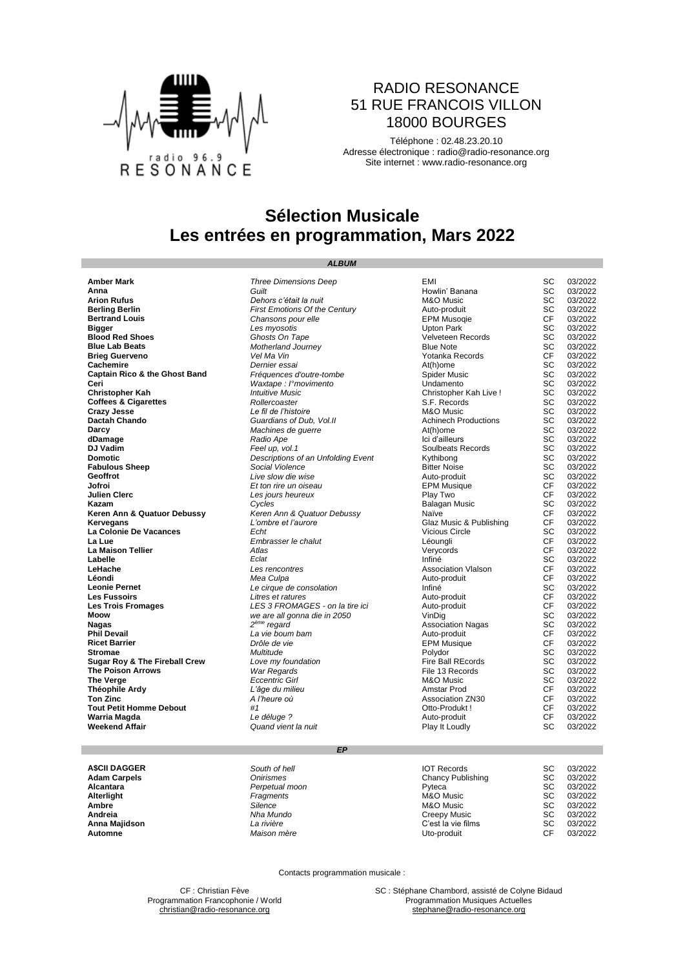

#### RADIO RESONANCE 51 RUE FRANCOIS VILLON 18000 BOURGES

Téléphone : 02.48.23.20.10 Adresse électronique : [radio@radio-resonance.org](mailto:radio@radio-resonance.org) Site internet : [www.radio-resonance.org](http://www.radio-resonance.org/)

## **Sélection Musicale Les entrées en programmation, Mars 2022**

*ALBUM*

#### **Amber Mark** *Three Dimensions Deep* EMI SC 03/2022 **Anna** *Guilt* Howlin' Banana SC 03/2022 **Arion Rufus** *Dehors c'était la nuit* M&O Music SC 03/2022 **Berling Berlin**<br> **Berling Berling Community Changes Changes Changes Changes Berling Community Changes Community Changes Berling Changes Changes CF 03/2022<br>
<b>Berling Berling Community Changes Changes Changes Changes Commun Chansons pour elle** CF **CHANSONS EPM Musoqie** CF<br>
Les myosotis CF 03/2022<br>
Ghosts On Tape CF 03/2022<br>
CHANSON CHANGE CHANGE CONSIDER CONSISTENT CHANGE CONSISTENT CHANGE CONSISTENT CHANGE CONSISTENT CHANGE CHANGE C **Bigger** *Les myosotis* Upton Park SC 03/2022 **Blood Red Shoes** *Ghosts On Tape* Velveteen Records SC 03/2022 **Blue Lab Beats Blue Lab Beats** *Motherland Journey* **Blue Note SC 03/2022<br>
<b>Brieg Guerveno** SC 03/2022<br> **Prieg Guerveno** *SC 03/2022* **Brieg Guerveno CF 03/2022**<br> **Cachemire CR** 03/2022<br> **Cachemire CR** 03/2022 **Cachemire** *Dernier essai* At(h)ome SC 03/2022 **Captain Rico & the Ghost Band** *Fréquences d'outre-tombe* Spider Music SC 03/2022<br> **Ceri** *Waxtape : l'movimento* Captaine Undamento SC 03/2022 **Waxtape** : I°movimento **Christopher Kah Christopher Kah <b>Intuitive Music** Christopher Kah Live ! SC 03/2022<br> **Coffees & Cigarettes Interventional Conference Accords** S.F. Records S.C. (03/2022<br> **Crazy Jesse Christopher Care Conference Conf Coffees & Cigarettes** *Rollercoaster Rollercoaster* **S.F. Records S.C. 03/2022**<br> **Crazy Jesse SC** 03/2022 **Crazy Jesse** *Le fil de l'histoire* M&O Music SC 03/2022 **Dactah Chando Cuardians of Dub, Vol.II** Achinech Productions SC 03/2022<br>Darcy *Machines de querre* At(h)ome SC 03/2022 **Darcy** *Machines de guerre* At(h)ome SC 03/2022 **dDamage** *Radio Ape* Ici d'ailleurs SC 03/2022 **DJ Vadim Feel up, vol.1 Feel up, vol.1** Soulbeats Records SC 03/2022<br> **Demotic** *Descriptions of an Unfolding Event* Kythibong SC 03/2022 **Descriptions of an Unfolding Event Fabulous Sheep Fabulous Sheep Social Violence Bitter Noise SC** 03/2022<br> **Geoffrot Bitter Noise Bitter Noise Bitter Noise Bitter Noise** SC 03/2022<br> **Jofroi Bending SC** 03/2022<br> **Discrete CF** 03/2022 **Geoffrot** *Live slow die wise* Auto-produit SC 03/2022 **Jofroi** *Et ton rire un oiseau* EPM Musique CF 03/2022 **Julien Clerc** CF 03/2022<br> **Azam Cycles** Cycles Cycles Cycles Balagan Music CF 03/2022<br> **Azam CF 03/2022** Keren Ann & Quatuor Debussy Name Name CF 03/2022 **Kazam** *Cycles* Balagan Music SC 03/2022 **Keren Ann & Quatuor Debussy**<br> **Keren Ann & Austrian Ann & Quatuor Debussy**<br> **Kervegans** CF 03/2022<br>
CH 03/2022 **La Colonie De Vacances** *Echt* Vicious Circle SC 03/2022 **La Lue** *Embrasser le chalut* Léoungli CF 03/2022 **La Maison Tellier** *Atlas* Verycords CF 03/2022 **Labelle** *Eclat* Infiné SC 03/2022 **LeHache** *Les rencontres* Association Vlalson CF 03/2022 **Léondi** *Mea Culpa* Auto-produit CF 03/2022 **Leonie Pernet** *Le cirque de consolation* Infiné SC 03/2022 Litres et ratures **Les Trois Fromages** *LES 3 FROMAGES - on la tire ici* Auto-produit CF 03/2022<br> **Moow** *we are all gonna die in 2050* VinDig VinDig SC 03/2022<br> **Nagas** SC 03/2022<br> **Nagas** SC 03/2022 **Moow** *we are all gonna die in 2050* VinDig SC 03/2022 **Nagas<br>Phil Devail Phil Devail CF** 03/2022<br> **Ricet Barrier** CF 03/2022<br> **Ricet Barrier** CF 03/2022 **Ricet Barrier** *Drôle de vie* EPM Musique CF 03/2022 **Stromae** *Multitude* Polydor SC 03/2022 **Sugar Roy & The Fireball Crew** *Love my foundation* Fire Ball REcords SC 03/2022<br>The Poison Arrows War Regards *War Regards* File 13 Records SC 03/2022 **The Poison Arrows** *War Regards* **File 13 Records** SC<br> **The Verge Extention Conduct Conduct Conduct Conduct Conduct Arrow M&O Music SC<br>
<b>Théophile Ardy** *L'âge du milieu CF* **The Verge** *Eccentric Girl* M&O Music SC 03/2022 **Théophile Ardy** *L'âge du milieu* Amstar Prod CF 03/2022 Ton Zinc and Association ZN30 CF 03/2022<br> **Ton Zinc Association ZN30** CF 03/2022<br> **Tout Petit Homme Debout** #1 **A** *Heure où* Association ZN30 CF 03/2022 **Tout Petit Homme Debout #1**  $#1$  **but Debout CF 03/2022 Warria Magda CF** 03/2022 **Warria Magda CF** 03/2022 **Warria Magda** *Le déluge ?* Auto-produit CF 03/2022 **Quand vient la nuit**

**Glaz Music & Publishing Finally**<br> **Association Nagas SC 03/2022**<br>
Auto-produit CF 03/2022

#### *EP*

| <b>ASCII DAGGER</b> | South of hell  | <b>IOT Records</b> | SC | 03/2022 |
|---------------------|----------------|--------------------|----|---------|
| Adam Carpels        | Onirismes      | Chancy Publishing  | SC | 03/2022 |
| Alcantara           | Perpetual moon | Pyteca             | SC | 03/2022 |
| Alterlight          | Fragments      | M&O Music          | SC | 03/2022 |
| Ambre               | Silence        | M&O Music          | SC | 03/2022 |
| Andreia             | Nha Mundo      | Creepy Music       | SC | 03/2022 |
| Anna Maiidson       | La rivière     | C'est la vie films | SC | 03/2022 |
| Automne             | Maison mère    | Uto-produit        | СF | 03/2022 |

Contacts programmation musicale :

Programmation Francophonie / World

CF : Christian Fève **SC : Stéphane Chambord, assisté de Colyne Bidaud**<br> **SC : Stéphane Chambord, assisté de Colyne Bidaud**<br> **Programmation Musiques Actuelles** [christian@radio-resonance.org](mailto:christian@radio-resonance.org) [stephane@radio-resonance.org](mailto:stephane@radio-resonance.org) stephane@radio-resonance.org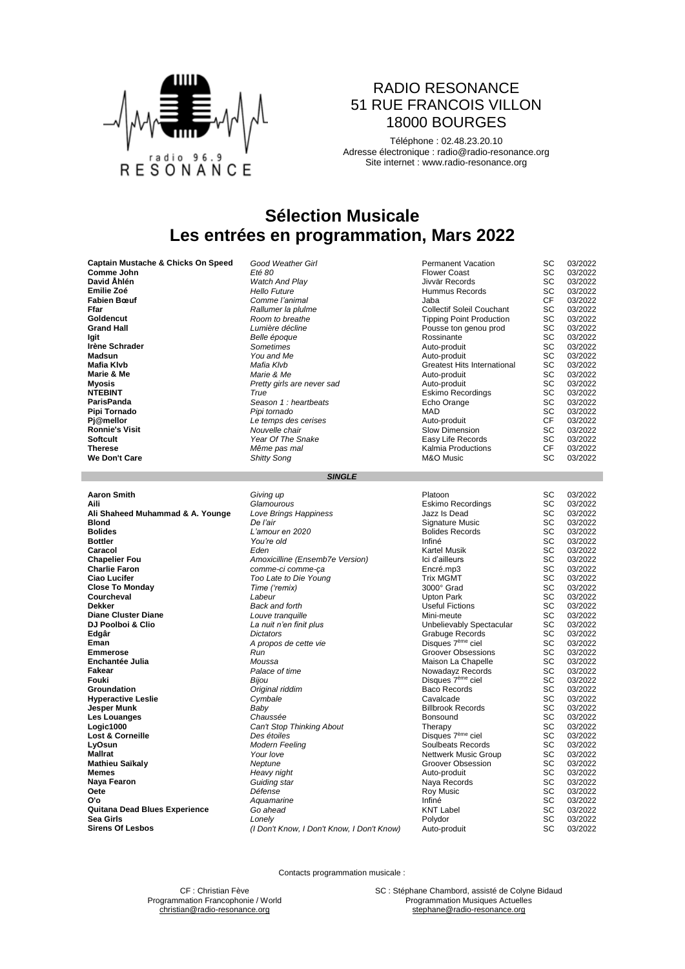

### RADIO RESONANCE 51 RUE FRANCOIS VILLON 18000 BOURGES

Téléphone : 02.48.23.20.10 Adresse électronique : [radio@radio-resonance.org](mailto:radio@radio-resonance.org) Site internet : [www.radio-resonance.org](http://www.radio-resonance.org/)

## **Sélection Musicale Les entrées en programmation, Mars 2022**

| Captain Mustache & Chicks On Speed | Good weather Girl          | Permanent vacation                 | 5C | U3/2022 |
|------------------------------------|----------------------------|------------------------------------|----|---------|
| Comme John                         | Eté 80                     | <b>Flower Coast</b>                | SC | 03/2022 |
| David Åhlén                        | <b>Watch And Play</b>      | Jivvär Records                     | SC | 03/2022 |
| Emilie Zoé                         | <b>Hello Future</b>        | Hummus Records                     | SC | 03/2022 |
| <b>Fabien Bœuf</b>                 | Comme l'animal             | Jaba                               | СF | 03/2022 |
| Ffar                               | Rallumer la plulme         | <b>Collectif Soleil Couchant</b>   | SC | 03/2022 |
| Goldencut                          | Room to breathe            | <b>Tipping Point Production</b>    | SC | 03/2022 |
| <b>Grand Hall</b>                  | Lumière décline            | Pousse ton genou prod              | SC | 03/2022 |
| lgit                               | Belle époque               | Rossinante                         | SC | 03/2022 |
| Irène Schrader                     | Sometimes                  | Auto-produit                       | SC | 03/2022 |
| Madsun                             | You and Me                 | Auto-produit                       | SC | 03/2022 |
| <b>Mafia Klvb</b>                  | Mafia Klvb                 | <b>Greatest Hits International</b> | SC | 03/2022 |
| Marie & Me                         | Marie & Me                 | Auto-produit                       | SC | 03/2022 |
| Myosis                             | Pretty girls are never sad | Auto-produit                       | SC | 03/2022 |
| <b>NTEBINT</b>                     | True                       | Eskimo Recordings                  | SC | 03/2022 |
| ParisPanda                         | Season 1 : heartbeats      | Echo Orange                        | SC | 03/2022 |
| Pipi Tornado                       | Pipi tornado               | MAD                                | SC | 03/2022 |
| Pi@mellor                          | Le temps des cerises       | Auto-produit                       | СF | 03/2022 |
| <b>Ronnie's Visit</b>              | Nouvelle chair             | Slow Dimension                     | SC | 03/2022 |
| Softcult                           | Year Of The Snake          | Easy Life Records                  | SC | 03/2022 |
| Therese                            | Même pas mal               | Kalmia Productions                 | СF | 03/2022 |
| We Don't Care                      | <b>Shitty Song</b>         | M&O Music                          | SC | 03/2022 |

*SINGLE*

| Aaron Smith                      | Giving up                                  | Platoon                       | SC | 03/2022 |
|----------------------------------|--------------------------------------------|-------------------------------|----|---------|
| Aili                             | Glamourous                                 | <b>Eskimo Recordings</b>      | SC | 03/2022 |
| Ali Shaheed Muhammad & A. Younge | Love Brings Happiness                      | Jazz Is Dead                  | SC | 03/2022 |
| <b>Blond</b>                     | De l'air                                   | Signature Music               | SC | 03/2022 |
| <b>Bolides</b>                   | L'amour en 2020                            | <b>Bolides Records</b>        | SC | 03/2022 |
| <b>Bottler</b>                   | You're old                                 | Infiné                        | SC | 03/2022 |
| Caracol                          | Eden                                       | Kartel Musik                  | SC | 03/2022 |
| <b>Chapelier Fou</b>             | Amoxicilline (Ensemb7e Version)            | Ici d'ailleurs                | SC | 03/2022 |
| Charlie Faron                    | comme-ci comme-ca                          | Encré.mp3                     | SC | 03/2022 |
| Ciao Lucifer                     | Too Late to Die Young                      | <b>Trix MGMT</b>              | SC | 03/2022 |
| <b>Close To Monday</b>           | Time ('remix)                              | 3000° Grad                    | SC | 03/2022 |
| Courcheval                       | Labeur                                     | <b>Upton Park</b>             | SC | 03/2022 |
| Dekker                           | Back and forth                             | <b>Useful Fictions</b>        | SC | 03/2022 |
| <b>Diane Cluster Diane</b>       | Louve tranquille                           | Mini-meute                    | SC | 03/2022 |
| DJ Poolboi & Clio                | La nuit n'en finit plus                    | Unbelievably Spectacular      | SC | 03/2022 |
| Edgâr                            | <b>Dictators</b>                           | Grabuge Records               | SC | 03/2022 |
| Eman                             | A propos de cette vie                      | Disques 7 <sup>ème</sup> ciel | SC | 03/2022 |
| Emmerose                         | Run                                        | <b>Groover Obsessions</b>     | SC | 03/2022 |
| Enchantée Julia                  | Moussa                                     | Maison La Chapelle            | SC | 03/2022 |
| Fakear                           | Palace of time                             | Nowadayz Records              | SC | 03/2022 |
| Fouki                            | Bijou                                      | Disques 7 <sup>ème</sup> ciel | SC | 03/2022 |
| Groundation                      | Original riddim                            | Baco Records                  | SC | 03/2022 |
| <b>Hyperactive Leslie</b>        | Cymbale                                    | Cavalcade                     | SC | 03/2022 |
| Jesper Munk                      | Baby                                       | <b>Billbrook Records</b>      | SC | 03/2022 |
| Les Louanges                     | Chaussée                                   | Bonsound                      | SC | 03/2022 |
| Logic1000                        | Can't Stop Thinking About                  | Therapy                       | SC | 03/2022 |
| <b>Lost &amp; Corneille</b>      | Des étoiles                                | Disques 7 <sup>ème</sup> ciel | SC | 03/2022 |
| LyOsun                           | <b>Modern Feeling</b>                      | Soulbeats Records             | SC | 03/2022 |
| Mallrat                          | Your love                                  | <b>Nettwerk Music Group</b>   | SC | 03/2022 |
| Mathieu Saïkaly                  | Neptune                                    | Groover Obsession             | SC | 03/2022 |
| Memes                            | Heavy night                                | Auto-produit                  | SC | 03/2022 |
| Naya Fearon                      | Guiding star                               | Naya Records                  | SC | 03/2022 |
| Oete                             | Défense                                    | Roy Music                     | SC | 03/2022 |
| О'о                              | Aquamarine                                 | Infiné                        | SC | 03/2022 |
| Quitana Dead Blues Experience    | Go ahead                                   | <b>KNT Label</b>              | SC | 03/2022 |
| Sea Girls                        | Lonely                                     | Polydor                       | SC | 03/2022 |
| <b>Sirens Of Lesbos</b>          | (I Don't Know, I Don't Know, I Don't Know) | Auto-produit                  | SC | 03/2022 |

Contacts programmation musicale :

CF : Christian Fève SC : Stéphane Chambord, assisté de Colyne Bidaud<br>
mation Francophonie / World School School Programmation Musiques Actuelles [christian@radio-resonance.org](mailto:christian@radio-resonance.org) [stephane@radio-resonance.org](mailto:stephane@radio-resonance.org)